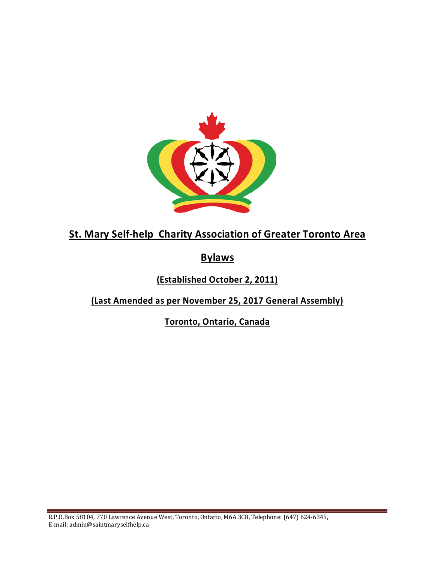

**St. Mary Self-help Charity Association of Greater Toronto Area**

**Bylaws**

**(Established October 2, 2011)**

**(Last Amended as per November 25, 2017 General Assembly)**

**Toronto, Ontario, Canada**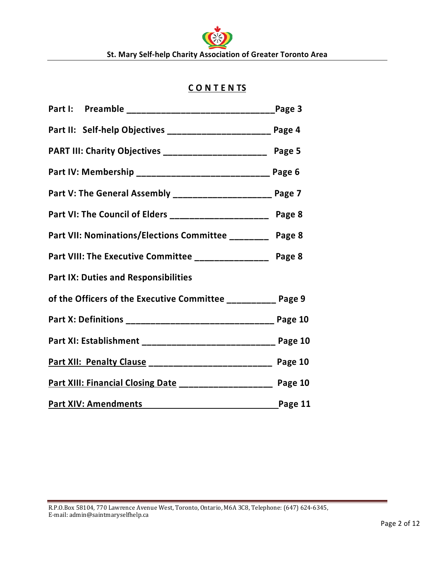# **C O N T E N TS**

| Part II: Self-help Objectives _______________________ Page 4                 |         |
|------------------------------------------------------------------------------|---------|
| PART III: Charity Objectives _________________________ Page 5                |         |
| Part IV: Membership ________________________________ Page 6                  |         |
| Part V: The General Assembly ______________________ Page 7                   |         |
| Part VI: The Council of Elders ________________________ Page 8               |         |
| Part VII: Nominations/Elections Committee _________ Page 8                   |         |
| Part VIII: The Executive Committee _________________ Page 8                  |         |
| <b>Part IX: Duties and Responsibilities</b>                                  |         |
| of the Officers of the Executive Committee __________ Page 9                 |         |
| Part X: Definitions _______________________________ Page 10                  |         |
| Part XI: Establishment ____________________________ Page 10                  |         |
| Part XII: Penalty Clause _________________________ Page 10                   |         |
| Part XIII: Financial Closing Date ___________________ Page 10                |         |
| <b>Part XIV: Amendments</b><br><u> 1980 - Jan Samuel Barbara, poeta esta</u> | Page 11 |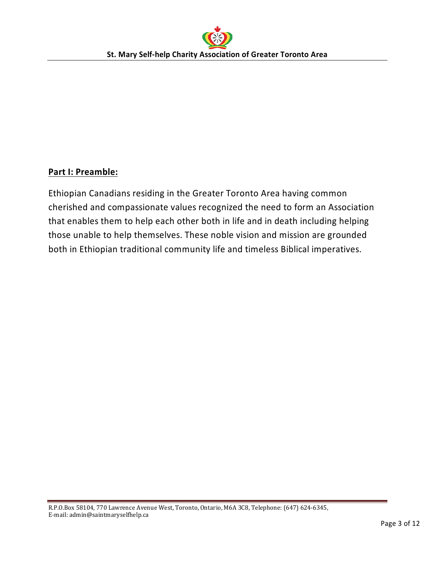# **Part I: Preamble:**

Ethiopian Canadians residing in the Greater Toronto Area having common cherished and compassionate values recognized the need to form an Association that enables them to help each other both in life and in death including helping those unable to help themselves. These noble vision and mission are grounded both in Ethiopian traditional community life and timeless Biblical imperatives.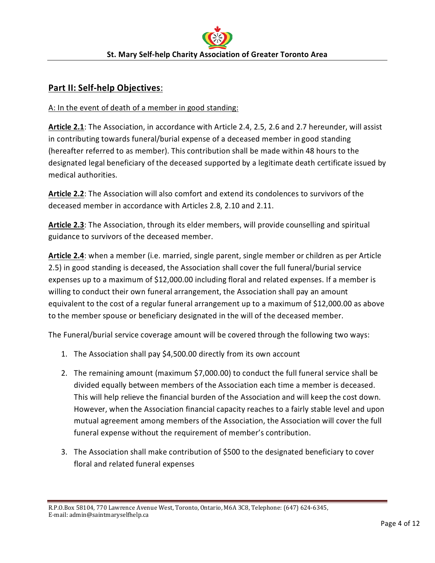## **Part II: Self-help Objectives**:

#### A: In the event of death of a member in good standing:

**Article 2.1**: The Association, in accordance with Article 2.4, 2.5, 2.6 and 2.7 hereunder, will assist in contributing towards funeral/burial expense of a deceased member in good standing (hereafter referred to as member). This contribution shall be made within 48 hours to the designated legal beneficiary of the deceased supported by a legitimate death certificate issued by medical authorities.

**Article 2.2**: The Association will also comfort and extend its condolences to survivors of the deceased member in accordance with Articles 2.8, 2.10 and 2.11.

**Article 2.3**: The Association, through its elder members, will provide counselling and spiritual guidance to survivors of the deceased member.

**Article 2.4**: when a member (i.e. married, single parent, single member or children as per Article 2.5) in good standing is deceased, the Association shall cover the full funeral/burial service expenses up to a maximum of \$12,000.00 including floral and related expenses. If a member is willing to conduct their own funeral arrangement, the Association shall pay an amount equivalent to the cost of a regular funeral arrangement up to a maximum of \$12,000.00 as above to the member spouse or beneficiary designated in the will of the deceased member.

The Funeral/burial service coverage amount will be covered through the following two ways:

- 1. The Association shall pay \$4,500.00 directly from its own account
- 2. The remaining amount (maximum \$7,000.00) to conduct the full funeral service shall be divided equally between members of the Association each time a member is deceased. This will help relieve the financial burden of the Association and will keep the cost down. However, when the Association financial capacity reaches to a fairly stable level and upon mutual agreement among members of the Association, the Association will cover the full funeral expense without the requirement of member's contribution.
- 3. The Association shall make contribution of \$500 to the designated beneficiary to cover floral and related funeral expenses

R.P.O.Box 58104, 770 Lawrence Avenue West, Toronto, Ontario, M6A 3C8, Telephone: (647) 624-6345, E-mail: admin@saintmaryselfhelp.ca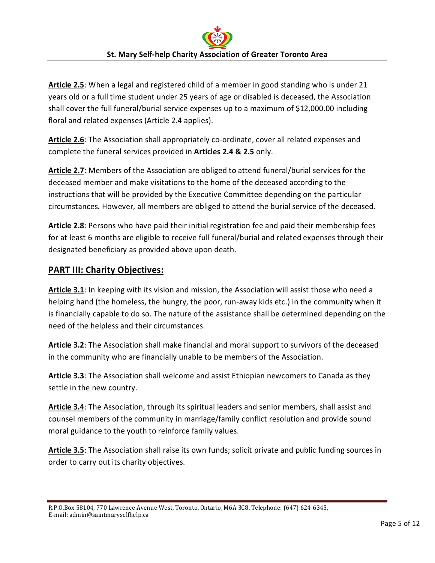**Article 2.5**: When a legal and registered child of a member in good standing who is under 21 years old or a full time student under 25 years of age or disabled is deceased, the Association shall cover the full funeral/burial service expenses up to a maximum of \$12,000.00 including floral and related expenses (Article 2.4 applies).

**Article 2.6**: The Association shall appropriately co-ordinate, cover all related expenses and complete the funeral services provided in **Articles 2.4 & 2.5** only.

**Article 2.7**: Members of the Association are obliged to attend funeral/burial services for the deceased member and make visitations to the home of the deceased according to the instructions that will be provided by the Executive Committee depending on the particular circumstances. However, all members are obliged to attend the burial service of the deceased.

**Article 2.8**: Persons who have paid their initial registration fee and paid their membership fees for at least 6 months are eligible to receive full funeral/burial and related expenses through their designated beneficiary as provided above upon death.

## **PART III: Charity Objectives:**

**Article 3.1**: In keeping with its vision and mission, the Association will assist those who need a helping hand (the homeless, the hungry, the poor, run-away kids etc.) in the community when it is financially capable to do so. The nature of the assistance shall be determined depending on the need of the helpless and their circumstances.

**Article 3.2**: The Association shall make financial and moral support to survivors of the deceased in the community who are financially unable to be members of the Association.

**Article 3.3**: The Association shall welcome and assist Ethiopian newcomers to Canada as they settle in the new country.

**Article 3.4**: The Association, through its spiritual leaders and senior members, shall assist and counsel members of the community in marriage/family conflict resolution and provide sound moral guidance to the youth to reinforce family values.

**Article 3.5**: The Association shall raise its own funds; solicit private and public funding sources in order to carry out its charity objectives.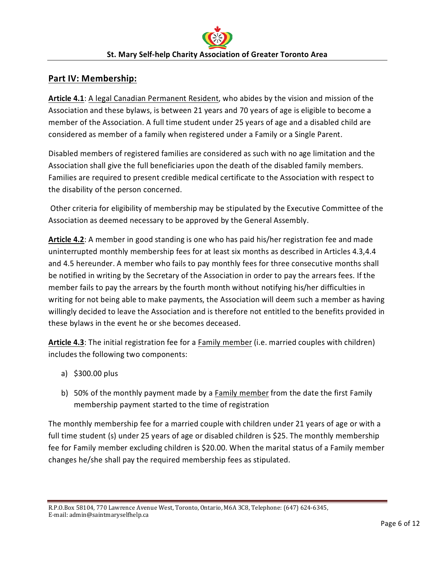#### **Part IV: Membership:**

**Article 4.1**: A legal Canadian Permanent Resident, who abides by the vision and mission of the Association and these bylaws, is between 21 years and 70 years of age is eligible to become a member of the Association. A full time student under 25 years of age and a disabled child are considered as member of a family when registered under a Family or a Single Parent.

Disabled members of registered families are considered as such with no age limitation and the Association shall give the full beneficiaries upon the death of the disabled family members. Families are required to present credible medical certificate to the Association with respect to the disability of the person concerned.

Other criteria for eligibility of membership may be stipulated by the Executive Committee of the Association as deemed necessary to be approved by the General Assembly.

**Article 4.2**: A member in good standing is one who has paid his/her registration fee and made uninterrupted monthly membership fees for at least six months as described in Articles 4.3,4.4 and 4.5 hereunder. A member who fails to pay monthly fees for three consecutive months shall be notified in writing by the Secretary of the Association in order to pay the arrears fees. If the member fails to pay the arrears by the fourth month without notifying his/her difficulties in writing for not being able to make payments, the Association will deem such a member as having willingly decided to leave the Association and is therefore not entitled to the benefits provided in these bylaws in the event he or she becomes deceased.

**Article 4.3**: The initial registration fee for a Family member (i.e. married couples with children) includes the following two components:

- a) \$300.00 plus
- b) 50% of the monthly payment made by a Family member from the date the first Family membership payment started to the time of registration

The monthly membership fee for a married couple with children under 21 years of age or with a full time student (s) under 25 years of age or disabled children is \$25. The monthly membership fee for Family member excluding children is \$20.00. When the marital status of a Family member changes he/she shall pay the required membership fees as stipulated.

R.P.O.Box 58104, 770 Lawrence Avenue West, Toronto, Ontario, M6A 3C8, Telephone: (647) 624-6345, E-mail: admin@saintmaryselfhelp.ca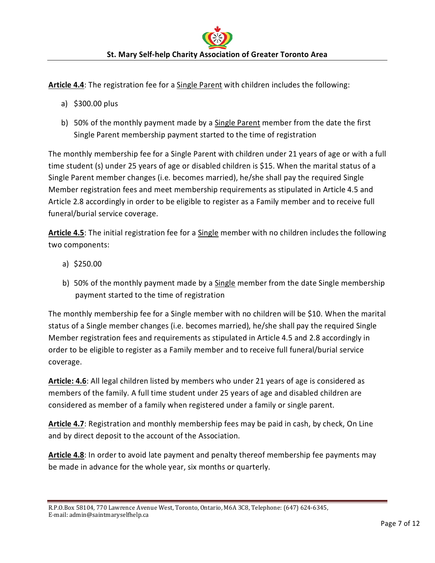**Article 4.4**: The registration fee for a Single Parent with children includes the following:

- a) \$300.00 plus
- b) 50% of the monthly payment made by a Single Parent member from the date the first Single Parent membership payment started to the time of registration

The monthly membership fee for a Single Parent with children under 21 years of age or with a full time student (s) under 25 years of age or disabled children is \$15. When the marital status of a Single Parent member changes (i.e. becomes married), he/she shall pay the required Single Member registration fees and meet membership requirements as stipulated in Article 4.5 and Article 2.8 accordingly in order to be eligible to register as a Family member and to receive full funeral/burial service coverage.

**Article 4.5**: The initial registration fee for a Single member with no children includes the following two components:

- a) \$250.00
- b) 50% of the monthly payment made by a Single member from the date Single membership payment started to the time of registration

The monthly membership fee for a Single member with no children will be \$10. When the marital status of a Single member changes (i.e. becomes married), he/she shall pay the required Single Member registration fees and requirements as stipulated in Article 4.5 and 2.8 accordingly in order to be eligible to register as a Family member and to receive full funeral/burial service coverage.

**Article: 4.6**: All legal children listed by members who under 21 years of age is considered as members of the family. A full time student under 25 years of age and disabled children are considered as member of a family when registered under a family or single parent.

**Article 4.7**: Registration and monthly membership fees may be paid in cash, by check, On Line and by direct deposit to the account of the Association.

**Article 4.8**: In order to avoid late payment and penalty thereof membership fee payments may be made in advance for the whole year, six months or quarterly.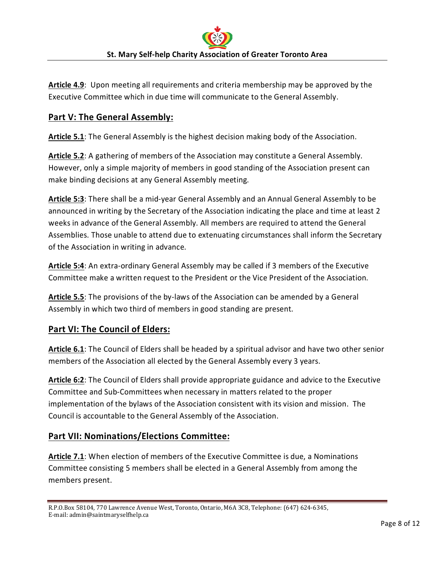**Article 4.9**: Upon meeting all requirements and criteria membership may be approved by the Executive Committee which in due time will communicate to the General Assembly.

## **Part V: The General Assembly:**

**Article 5.1**: The General Assembly is the highest decision making body of the Association.

**Article 5.2**: A gathering of members of the Association may constitute a General Assembly. However, only a simple majority of members in good standing of the Association present can make binding decisions at any General Assembly meeting.

**Article 5:3**: There shall be a mid-year General Assembly and an Annual General Assembly to be announced in writing by the Secretary of the Association indicating the place and time at least 2 weeks in advance of the General Assembly. All members are required to attend the General Assemblies. Those unable to attend due to extenuating circumstances shall inform the Secretary of the Association in writing in advance.

**Article 5:4**: An extra-ordinary General Assembly may be called if 3 members of the Executive Committee make a written request to the President or the Vice President of the Association.

**Article 5.5**: The provisions of the by-laws of the Association can be amended by a General Assembly in which two third of members in good standing are present.

## **Part VI: The Council of Elders:**

**Article 6.1**: The Council of Elders shall be headed by a spiritual advisor and have two other senior members of the Association all elected by the General Assembly every 3 years.

**Article 6:2**: The Council of Elders shall provide appropriate guidance and advice to the Executive Committee and Sub-Committees when necessary in matters related to the proper implementation of the bylaws of the Association consistent with its vision and mission. The Council is accountable to the General Assembly of the Association.

## **Part VII: Nominations/Elections Committee:**

**Article 7.1**: When election of members of the Executive Committee is due, a Nominations Committee consisting 5 members shall be elected in a General Assembly from among the members present.

R.P.O.Box 58104, 770 Lawrence Avenue West, Toronto, Ontario, M6A 3C8, Telephone: (647) 624-6345, E-mail: admin@saintmaryselfhelp.ca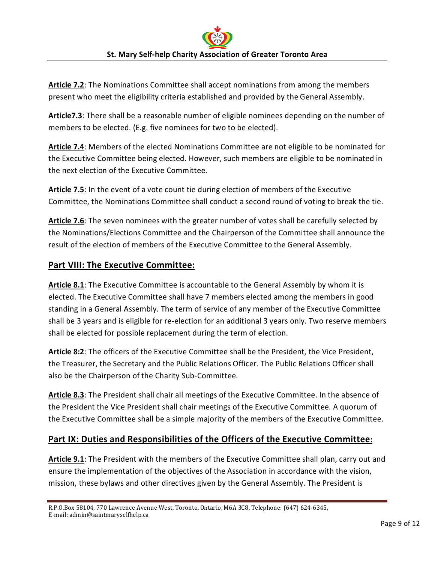**Article 7.2**: The Nominations Committee shall accept nominations from among the members present who meet the eligibility criteria established and provided by the General Assembly.

Article7.3: There shall be a reasonable number of eligible nominees depending on the number of members to be elected. (E.g. five nominees for two to be elected).

**Article 7.4**: Members of the elected Nominations Committee are not eligible to be nominated for the Executive Committee being elected. However, such members are eligible to be nominated in the next election of the Executive Committee.

**Article 7.5**: In the event of a vote count tie during election of members of the Executive Committee, the Nominations Committee shall conduct a second round of voting to break the tie.

**Article 7.6**: The seven nominees with the greater number of votes shall be carefully selected by the Nominations/Elections Committee and the Chairperson of the Committee shall announce the result of the election of members of the Executive Committee to the General Assembly.

## **Part VIII: The Executive Committee:**

**Article 8.1**: The Executive Committee is accountable to the General Assembly by whom it is elected. The Executive Committee shall have 7 members elected among the members in good standing in a General Assembly. The term of service of any member of the Executive Committee shall be 3 years and is eligible for re-election for an additional 3 years only. Two reserve members shall be elected for possible replacement during the term of election.

**Article 8:2**: The officers of the Executive Committee shall be the President, the Vice President, the Treasurer, the Secretary and the Public Relations Officer. The Public Relations Officer shall also be the Chairperson of the Charity Sub-Committee.

**Article 8.3**: The President shall chair all meetings of the Executive Committee. In the absence of the President the Vice President shall chair meetings of the Executive Committee. A quorum of the Executive Committee shall be a simple majority of the members of the Executive Committee.

# **Part IX: Duties and Responsibilities of the Officers of the Executive Committee:**

**Article 9.1**: The President with the members of the Executive Committee shall plan, carry out and ensure the implementation of the objectives of the Association in accordance with the vision, mission, these bylaws and other directives given by the General Assembly. The President is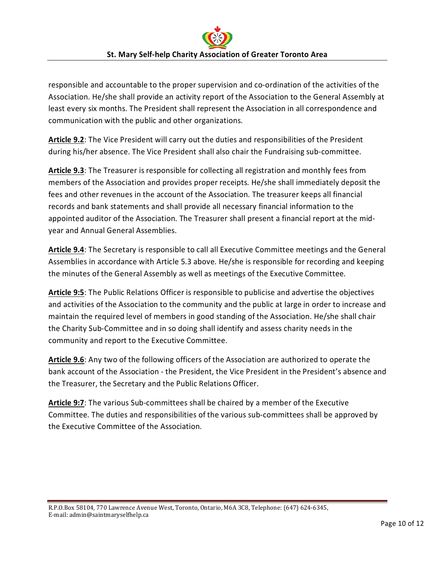responsible and accountable to the proper supervision and co-ordination of the activities of the Association. He/she shall provide an activity report of the Association to the General Assembly at least every six months. The President shall represent the Association in all correspondence and communication with the public and other organizations.

**Article 9.2**: The Vice President will carry out the duties and responsibilities of the President during his/her absence. The Vice President shall also chair the Fundraising sub-committee.

**Article 9.3**: The Treasurer is responsible for collecting all registration and monthly fees from members of the Association and provides proper receipts. He/she shall immediately deposit the fees and other revenues in the account of the Association. The treasurer keeps all financial records and bank statements and shall provide all necessary financial information to the appointed auditor of the Association. The Treasurer shall present a financial report at the midyear and Annual General Assemblies.

**Article 9.4**: The Secretary is responsible to call all Executive Committee meetings and the General Assemblies in accordance with Article 5.3 above. He/she is responsible for recording and keeping the minutes of the General Assembly as well as meetings of the Executive Committee.

**Article 9:5**: The Public Relations Officer is responsible to publicise and advertise the objectives and activities of the Association to the community and the public at large in order to increase and maintain the required level of members in good standing of the Association. He/she shall chair the Charity Sub-Committee and in so doing shall identify and assess charity needs in the community and report to the Executive Committee.

**Article 9.6**: Any two of the following officers of the Association are authorized to operate the bank account of the Association - the President, the Vice President in the President's absence and the Treasurer, the Secretary and the Public Relations Officer.

**Article 9:7**: The various Sub-committees shall be chaired by a member of the Executive Committee. The duties and responsibilities of the various sub-committees shall be approved by the Executive Committee of the Association.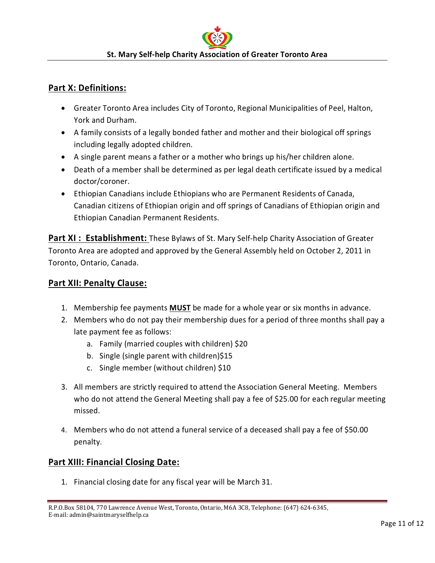#### **Part X: Definitions:**

- Greater Toronto Area includes City of Toronto, Regional Municipalities of Peel, Halton, York and Durham.
- A family consists of a legally bonded father and mother and their biological off springs including legally adopted children.
- A single parent means a father or a mother who brings up his/her children alone.
- Death of a member shall be determined as per legal death certificate issued by a medical doctor/coroner.
- Ethiopian Canadians include Ethiopians who are Permanent Residents of Canada, Canadian citizens of Ethiopian origin and off springs of Canadians of Ethiopian origin and Ethiopian Canadian Permanent Residents.

**Part XI : Establishment:** These Bylaws of St. Mary Self-help Charity Association of Greater Toronto Area are adopted and approved by the General Assembly held on October 2, 2011 in Toronto, Ontario, Canada.

#### **Part XII: Penalty Clause:**

- 1. Membership fee payments **MUST** be made for a whole year or six months in advance.
- 2. Members who do not pay their membership dues for a period of three months shall pay a late payment fee as follows:
	- a. Family (married couples with children) \$20
	- b. Single (single parent with children)\$15
	- c. Single member (without children) \$10
- 3. All members are strictly required to attend the Association General Meeting. Members who do not attend the General Meeting shall pay a fee of \$25.00 for each regular meeting missed.
- 4. Members who do not attend a funeral service of a deceased shall pay a fee of \$50.00 penalty.

## **Part XIII: Financial Closing Date:**

1. Financial closing date for any fiscal year will be March 31.